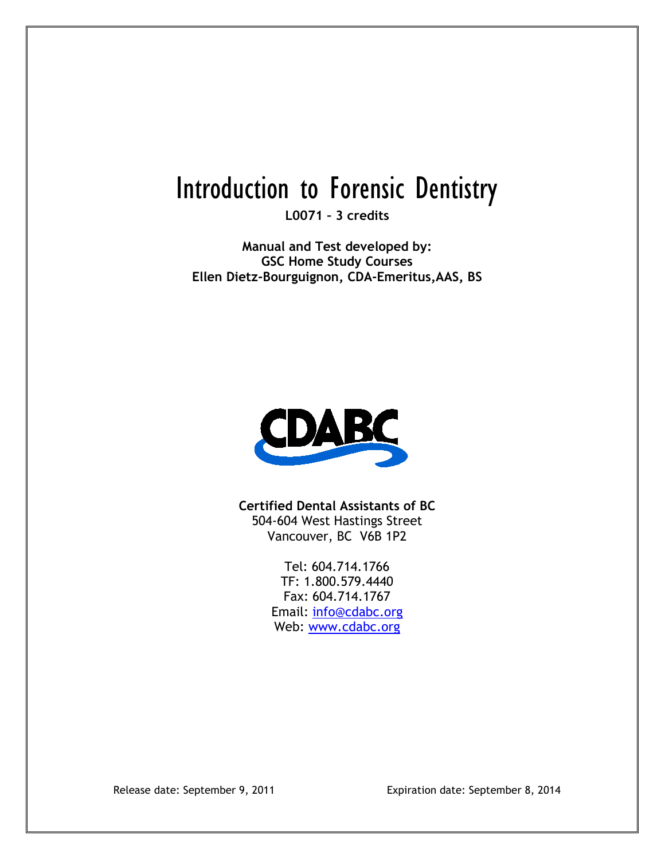# Introduction to Forensic Dentistry

**L0071 – 3 credits**

**Manual and Test developed by: GSC Home Study Courses Ellen Dietz-Bourguignon, CDA-Emeritus,AAS, BS**



**Certified Dental Assistants of BC** 504-604 West Hastings Street Vancouver, BC V6B 1P2

> Tel: 604.714.1766 TF: 1.800.579.4440 Fax: 604.714.1767 Email: [info@cdabc.org](mailto:info@cdabc.org) Web: [www.cdabc.org](http://www.cdabc.org/)

Release date: September 9, 2011 Expiration date: September 8, 2014

L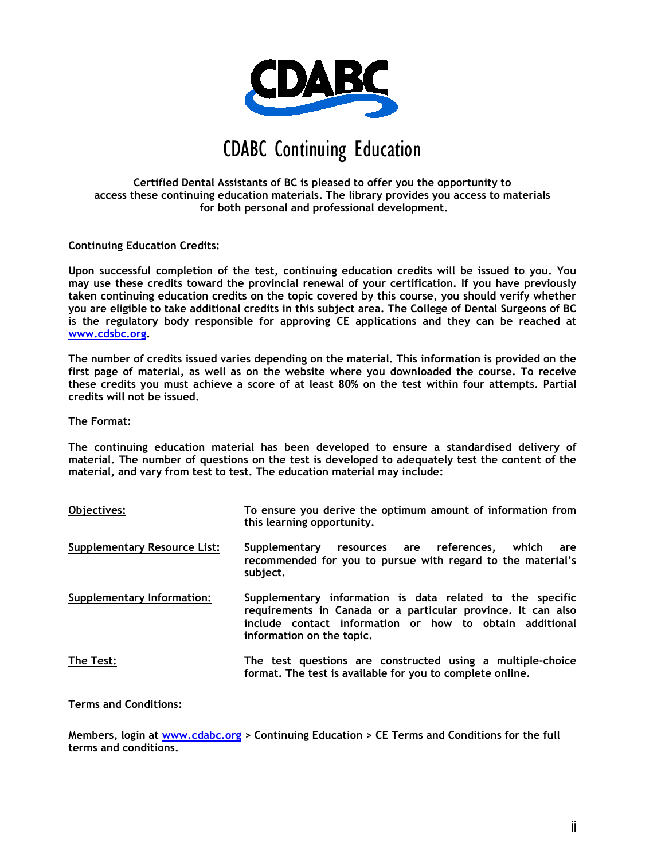

## CDABC Continuing Education

#### **Certified Dental Assistants of BC is pleased to offer you the opportunity to access these continuing education materials. The library provides you access to materials for both personal and professional development.**

**Continuing Education Credits:**

**Upon successful completion of the test, continuing education credits will be issued to you. You may use these credits toward the provincial renewal of your certification. If you have previously taken continuing education credits on the topic covered by this course, you should verify whether you are eligible to take additional credits in this subject area. The College of Dental Surgeons of BC is the regulatory body responsible for approving CE applications and they can be reached at [www.cdsbc.org.](http://www.cdsbc.org/)**

**The number of credits issued varies depending on the material. This information is provided on the first page of material, as well as on the website where you downloaded the course. To receive these credits you must achieve a score of at least 80% on the test within four attempts. Partial credits will not be issued.**

**The Format:**

**The continuing education material has been developed to ensure a standardised delivery of material. The number of questions on the test is developed to adequately test the content of the material, and vary from test to test. The education material may include:**

| Objectives:                         | To ensure you derive the optimum amount of information from<br>this learning opportunity.                                                                                                                         |
|-------------------------------------|-------------------------------------------------------------------------------------------------------------------------------------------------------------------------------------------------------------------|
| <b>Supplementary Resource List:</b> | Supplementary resources are references. which<br>are<br>recommended for you to pursue with regard to the material's<br>subject.                                                                                   |
| <b>Supplementary Information:</b>   | Supplementary information is data related to the specific<br>requirements in Canada or a particular province. It can also<br>include contact information or how to obtain additional<br>information on the topic. |
| The Test:                           | The test questions are constructed using a multiple-choice<br>format. The test is available for you to complete online.                                                                                           |

**Terms and Conditions:**

**Members, login at [www.cdabc.org](http://www.cdabc.org/) > Continuing Education > CE Terms and Conditions for the full terms and conditions.**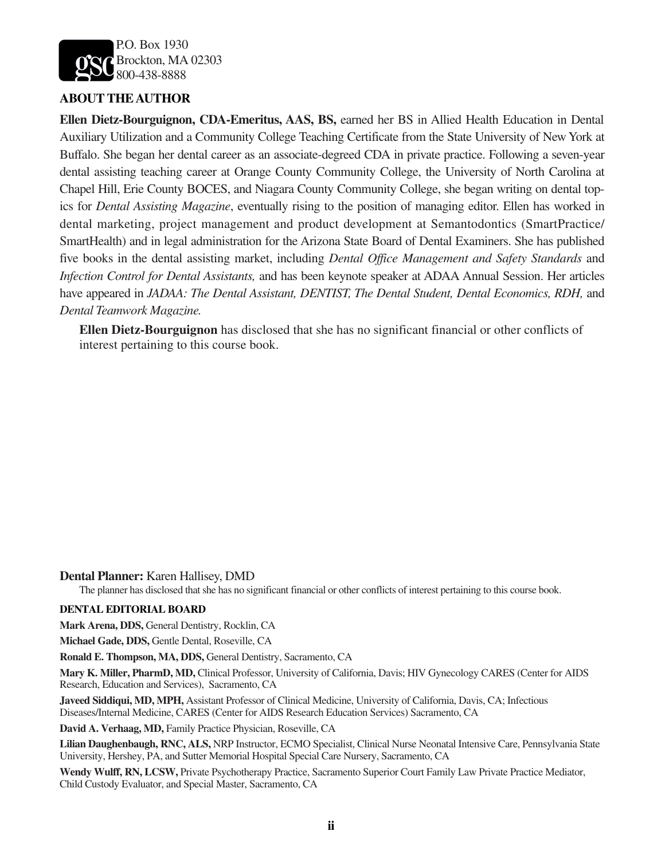

#### **ABOUT THE AUTHOR**

**Ellen Dietz-Bourguignon, CDA-Emeritus, AAS, BS,** earned her BS in Allied Health Education in Dental Auxiliary Utilization and a Community College Teaching Certificate from the State University of New York at Buffalo. She began her dental career as an associate-degreed CDA in private practice. Following a seven-year dental assisting teaching career at Orange County Community College, the University of North Carolina at Chapel Hill, Erie County BOCES, and Niagara County Community College, she began writing on dental topics for *Dental Assisting Magazine*, eventually rising to the position of managing editor. Ellen has worked in dental marketing, project management and product development at Semantodontics (SmartPractice/ SmartHealth) and in legal administration for the Arizona State Board of Dental Examiners. She has published five books in the dental assisting market, including *Dental Office Management and Safety Standards* and *Infection Control for Dental Assistants,* and has been keynote speaker at ADAA Annual Session. Her articles have appeared in *JADAA: The Dental Assistant, DENTIST, The Dental Student, Dental Economics, RDH,* and *Dental Teamwork Magazine.*

**Ellen Dietz-Bourguignon** has disclosed that she has no significant financial or other conflicts of interest pertaining to this course book.

**Dental Planner:** Karen Hallisey, DMD

The planner has disclosed that she has no significant financial or other conflicts of interest pertaining to this course book.

#### **DENTAL EDITORIAL BOARD**

**Mark Arena, DDS,** General Dentistry, Rocklin, CA

**Michael Gade, DDS,** Gentle Dental, Roseville, CA

**Ronald E. Thompson, MA, DDS,** General Dentistry, Sacramento, CA

**Mary K. Miller, PharmD, MD,** Clinical Professor, University of California, Davis; HIV Gynecology CARES (Center for AIDS Research, Education and Services), Sacramento, CA

**Javeed Siddiqui, MD, MPH,** Assistant Professor of Clinical Medicine, University of California, Davis, CA; Infectious Diseases/Internal Medicine, CARES (Center for AIDS Research Education Services) Sacramento, CA

**David A. Verhaag, MD,** Family Practice Physician, Roseville, CA

**Lilian Daughenbaugh, RNC, ALS,** NRP Instructor, ECMO Specialist, Clinical Nurse Neonatal Intensive Care, Pennsylvania State University, Hershey, PA, and Sutter Memorial Hospital Special Care Nursery, Sacramento, CA

**Wendy Wulff, RN, LCSW,** Private Psychotherapy Practice, Sacramento Superior Court Family Law Private Practice Mediator, Child Custody Evaluator, and Special Master, Sacramento, CA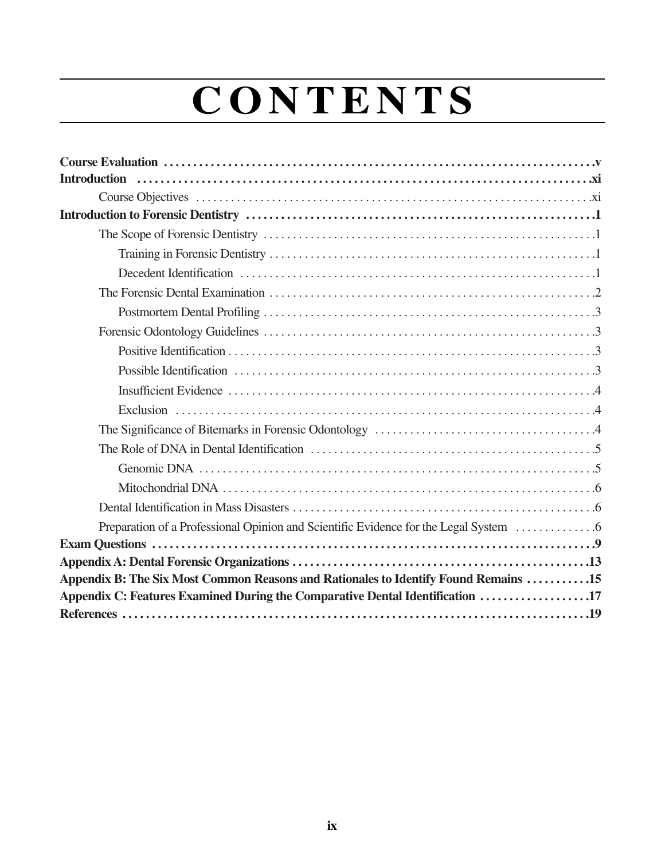# **C O N T E N T S**

| Appendix B: The Six Most Common Reasons and Rationales to Identify Found Remains 15 |
|-------------------------------------------------------------------------------------|
| Appendix C: Features Examined During the Comparative Dental Identification 17       |
|                                                                                     |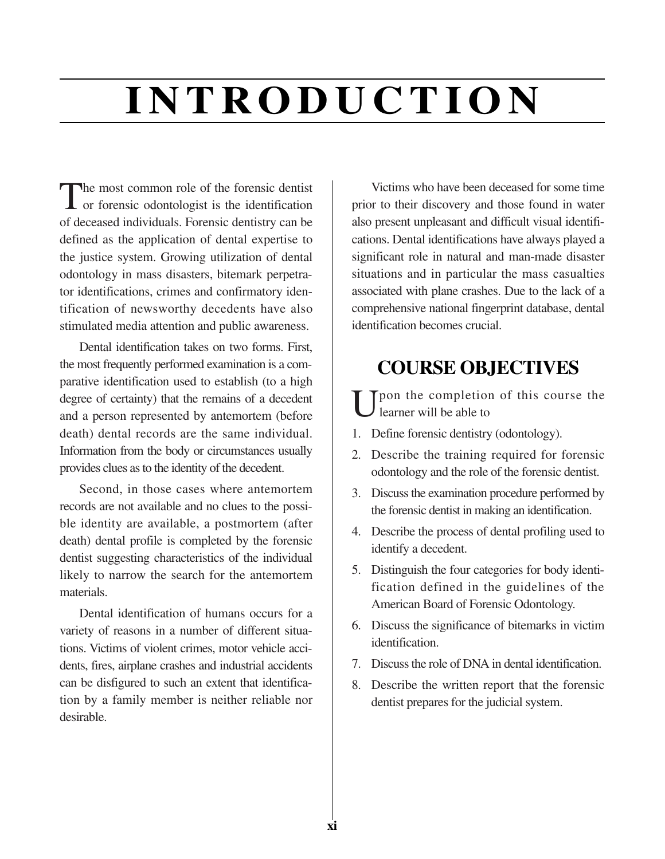# **I N T RO D U C T I O N**

The most common role of the forensic dentist<br>
or forensic odontologist is the identification of deceased individuals. Forensic dentistry can be defined as the application of dental expertise to the justice system. Growing utilization of dental odontology in mass disasters, bitemark perpetrator identifications, crimes and confirmatory identification of newsworthy decedents have also stimulated media attention and public awareness.

Dental identification takes on two forms. First, the most frequently performed examination is a comparative identification used to establish (to a high degree of certainty) that the remains of a decedent and a person represented by antemortem (before death) dental records are the same individual. Information from the body or circumstances usually provides clues as to the identity of the decedent.

Second, in those cases where antemortem records are not available and no clues to the possible identity are available, a postmortem (after death) dental profile is completed by the forensic dentist suggesting characteristics of the individual likely to narrow the search for the antemortem materials.

Dental identification of humans occurs for a variety of reasons in a number of different situations. Victims of violent crimes, motor vehicle accidents, fires, airplane crashes and industrial accidents can be disfigured to such an extent that identification by a family member is neither reliable nor desirable.

Victims who have been deceased for some time prior to their discovery and those found in water also present unpleasant and difficult visual identifications. Dental identifications have always played a significant role in natural and man-made disaster situations and in particular the mass casualties associated with plane crashes. Due to the lack of a comprehensive national fingerprint database, dental identification becomes crucial.

## **COURSE OBJECTIVES**

 $\prod_{i=1}^{\infty}$   $\prod_{i=1}^{\infty}$  of this course the learner will be able to

- 1. Define forensic dentistry (odontology).
- 2. Describe the training required for forensic odontology and the role of the forensic dentist.
- 3. Discuss the examination procedure performed by the forensic dentist in making an identification.
- 4. Describe the process of dental profiling used to identify a decedent.
- 5. Distinguish the four categories for body identification defined in the guidelines of the American Board of Forensic Odontology.
- 6. Discuss the significance of bitemarks in victim identification.
- 7. Discuss the role of DNA in dental identification.
- 8. Describe the written report that the forensic dentist prepares for the judicial system.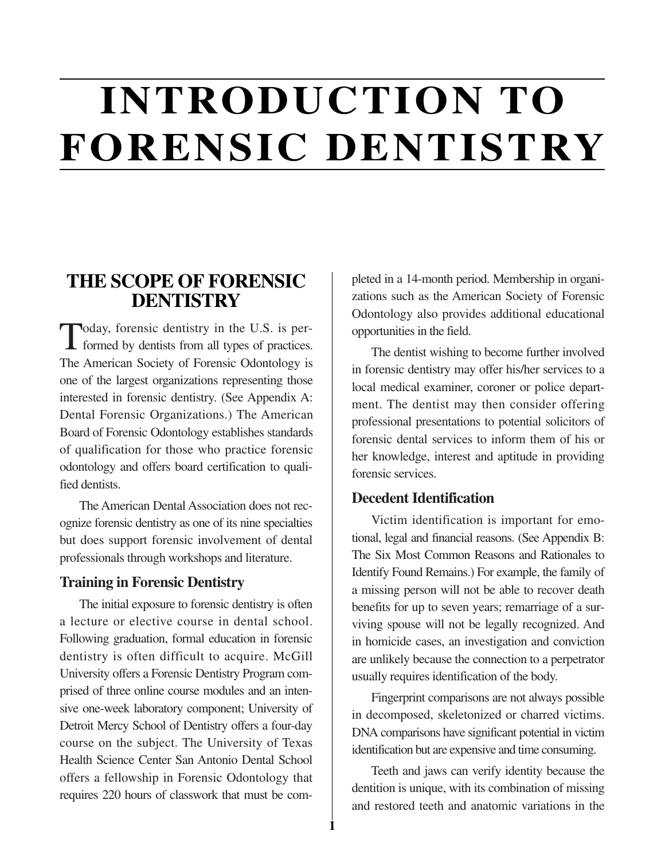# **INTRODUCTION TO FORENSIC DENTISTRY**

**1**

### **THE SCOPE OF FORENSIC DENTISTRY**

Today, forensic dentistry in the U.S. is per-**I** formed by dentists from all types of practices. The American Society of Forensic Odontology is one of the largest organizations representing those interested in forensic dentistry. (See Appendix A: Dental Forensic Organizations.) The American Board of Forensic Odontology establishes standards of qualification for those who practice forensic odontology and offers board certification to qualified dentists.

The American Dental Association does not recognize forensic dentistry as one of its nine specialties but does support forensic involvement of dental professionals through workshops and literature.

#### **Training in Forensic Dentistry**

The initial exposure to forensic dentistry is often a lecture or elective course in dental school. Following graduation, formal education in forensic dentistry is often difficult to acquire. McGill University offers a Forensic Dentistry Program comprised of three online course modules and an intensive one-week laboratory component; University of Detroit Mercy School of Dentistry offers a four-day course on the subject. The University of Texas Health Science Center San Antonio Dental School offers a fellowship in Forensic Odontology that requires 220 hours of classwork that must be completed in a 14-month period. Membership in organizations such as the American Society of Forensic Odontology also provides additional educational opportunities in the field.

The dentist wishing to become further involved in forensic dentistry may offer his/her services to a local medical examiner, coroner or police department. The dentist may then consider offering professional presentations to potential solicitors of forensic dental services to inform them of his or her knowledge, interest and aptitude in providing forensic services.

#### **Decedent Identification**

Victim identification is important for emotional, legal and financial reasons. (See Appendix B: The Six Most Common Reasons and Rationales to Identify Found Remains.) For example, the family of a missing person will not be able to recover death benefits for up to seven years; remarriage of a surviving spouse will not be legally recognized. And in homicide cases, an investigation and conviction are unlikely because the connection to a perpetrator usually requires identification of the body.

Fingerprint comparisons are not always possible in decomposed, skeletonized or charred victims. DNA comparisons have significant potential in victim identification but are expensive and time consuming.

Teeth and jaws can verify identity because the dentition is unique, with its combination of missing and restored teeth and anatomic variations in the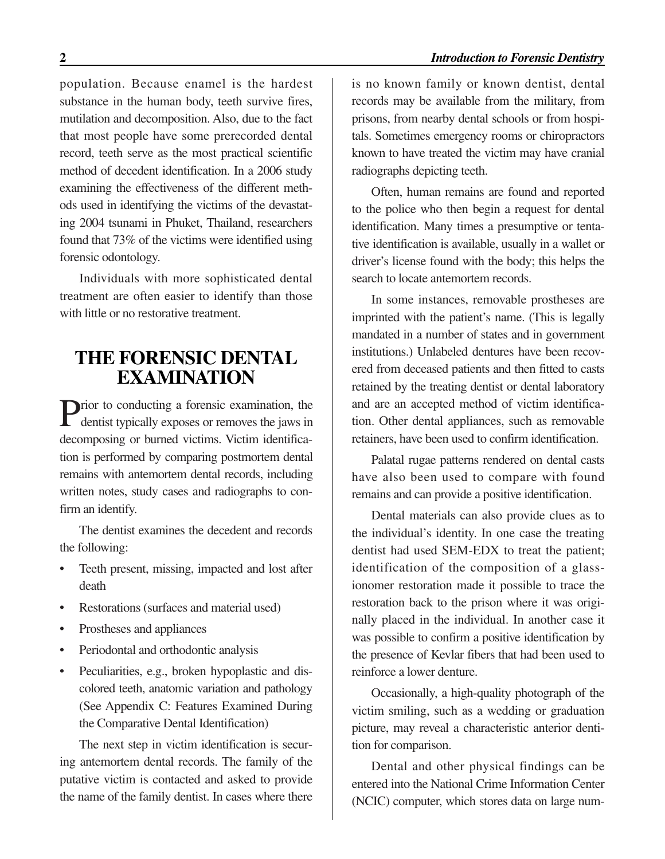population. Because enamel is the hardest substance in the human body, teeth survive fires, mutilation and decomposition. Also, due to the fact that most people have some prerecorded dental record, teeth serve as the most practical scientific method of decedent identification. In a 2006 study examining the effectiveness of the different methods used in identifying the victims of the devastating 2004 tsunami in Phuket, Thailand, researchers found that 73% of the victims were identified using forensic odontology.

Individuals with more sophisticated dental treatment are often easier to identify than those with little or no restorative treatment.

### **THE FORENSIC DENTAL EXAMINATION**

**D**rior to conducting a forensic examination, the dentist typically exposes or removes the jaws in decomposing or burned victims. Victim identification is performed by comparing postmortem dental remains with antemortem dental records, including written notes, study cases and radiographs to confirm an identify.

The dentist examines the decedent and records the following:

- Teeth present, missing, impacted and lost after death
- Restorations (surfaces and material used)
- Prostheses and appliances
- Periodontal and orthodontic analysis
- Peculiarities, e.g., broken hypoplastic and discolored teeth, anatomic variation and pathology (See Appendix C: Features Examined During the Comparative Dental Identification)

The next step in victim identification is securing antemortem dental records. The family of the putative victim is contacted and asked to provide the name of the family dentist. In cases where there

is no known family or known dentist, dental records may be available from the military, from prisons, from nearby dental schools or from hospitals. Sometimes emergency rooms or chiropractors known to have treated the victim may have cranial radiographs depicting teeth.

Often, human remains are found and reported to the police who then begin a request for dental identification. Many times a presumptive or tentative identification is available, usually in a wallet or driver's license found with the body; this helps the search to locate antemortem records.

In some instances, removable prostheses are imprinted with the patient's name. (This is legally mandated in a number of states and in government institutions.) Unlabeled dentures have been recovered from deceased patients and then fitted to casts retained by the treating dentist or dental laboratory and are an accepted method of victim identification. Other dental appliances, such as removable retainers, have been used to confirm identification.

Palatal rugae patterns rendered on dental casts have also been used to compare with found remains and can provide a positive identification.

Dental materials can also provide clues as to the individual's identity. In one case the treating dentist had used SEM-EDX to treat the patient; identification of the composition of a glassionomer restoration made it possible to trace the restoration back to the prison where it was originally placed in the individual. In another case it was possible to confirm a positive identification by the presence of Kevlar fibers that had been used to reinforce a lower denture.

Occasionally, a high-quality photograph of the victim smiling, such as a wedding or graduation picture, may reveal a characteristic anterior dentition for comparison.

Dental and other physical findings can be entered into the National Crime Information Center (NCIC) computer, which stores data on large num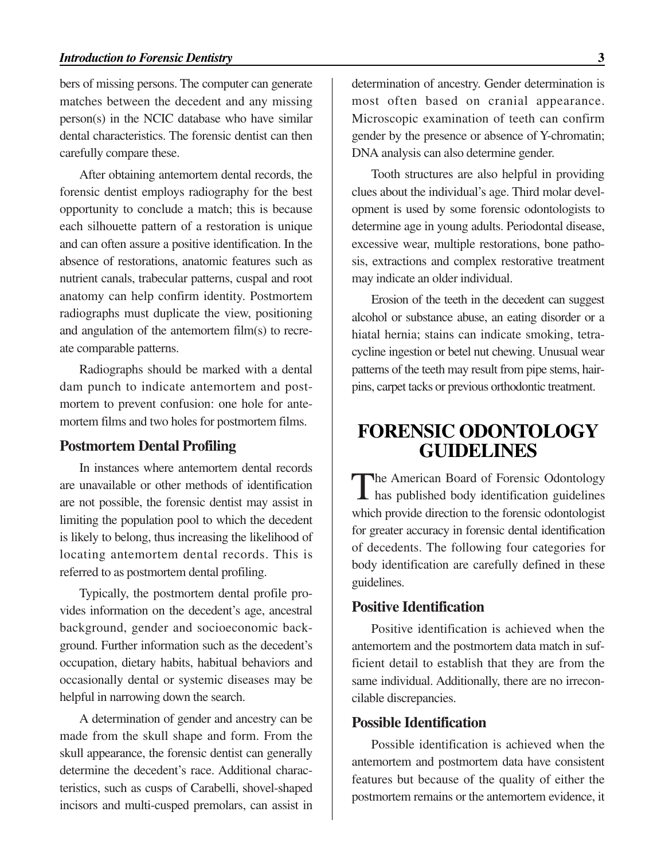bers of missing persons. The computer can generate matches between the decedent and any missing person(s) in the NCIC database who have similar dental characteristics. The forensic dentist can then carefully compare these.

After obtaining antemortem dental records, the forensic dentist employs radiography for the best opportunity to conclude a match; this is because each silhouette pattern of a restoration is unique and can often assure a positive identification. In the absence of restorations, anatomic features such as nutrient canals, trabecular patterns, cuspal and root anatomy can help confirm identity. Postmortem radiographs must duplicate the view, positioning and angulation of the antemortem film(s) to recreate comparable patterns.

Radiographs should be marked with a dental dam punch to indicate antemortem and postmortem to prevent confusion: one hole for antemortem films and two holes for postmortem films.

#### **Postmortem Dental Profiling**

In instances where antemortem dental records are unavailable or other methods of identification are not possible, the forensic dentist may assist in limiting the population pool to which the decedent is likely to belong, thus increasing the likelihood of locating antemortem dental records. This is referred to as postmortem dental profiling.

Typically, the postmortem dental profile provides information on the decedent's age, ancestral background, gender and socioeconomic background. Further information such as the decedent's occupation, dietary habits, habitual behaviors and occasionally dental or systemic diseases may be helpful in narrowing down the search.

A determination of gender and ancestry can be made from the skull shape and form. From the skull appearance, the forensic dentist can generally determine the decedent's race. Additional characteristics, such as cusps of Carabelli, shovel-shaped incisors and multi-cusped premolars, can assist in determination of ancestry. Gender determination is most often based on cranial appearance. Microscopic examination of teeth can confirm gender by the presence or absence of Y-chromatin; DNA analysis can also determine gender.

Tooth structures are also helpful in providing clues about the individual's age. Third molar development is used by some forensic odontologists to determine age in young adults. Periodontal disease, excessive wear, multiple restorations, bone pathosis, extractions and complex restorative treatment may indicate an older individual.

Erosion of the teeth in the decedent can suggest alcohol or substance abuse, an eating disorder or a hiatal hernia; stains can indicate smoking, tetracycline ingestion or betel nut chewing. Unusual wear patterns of the teeth may result from pipe stems, hairpins, carpet tacks or previous orthodontic treatment.

### **FORENSIC ODONTOLOGY GUIDELINES**

The American Board of Forensic Odontology<br>has published body identification guidelines which provide direction to the forensic odontologist for greater accuracy in forensic dental identification of decedents. The following four categories for body identification are carefully defined in these guidelines.

#### **Positive Identification**

Positive identification is achieved when the antemortem and the postmortem data match in sufficient detail to establish that they are from the same individual. Additionally, there are no irreconcilable discrepancies.

#### **Possible Identification**

Possible identification is achieved when the antemortem and postmortem data have consistent features but because of the quality of either the postmortem remains or the antemortem evidence, it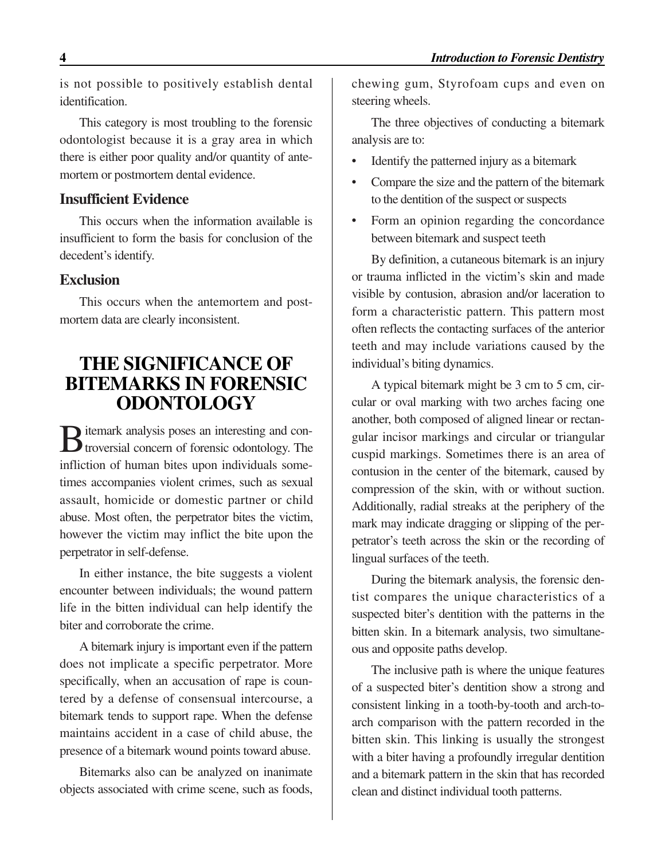is not possible to positively establish dental identification.

This category is most troubling to the forensic odontologist because it is a gray area in which there is either poor quality and/or quantity of antemortem or postmortem dental evidence.

#### **Insufficient Evidence**

This occurs when the information available is insufficient to form the basis for conclusion of the decedent's identify.

#### **Exclusion**

This occurs when the antemortem and postmortem data are clearly inconsistent.

## **THE SIGNIFICANCE OF BITEMARKS IN FORENSIC ODONTOLOGY**

**D** itemark analysis poses an interesting and con-**D** troversial concern of forensic odontology. The infliction of human bites upon individuals sometimes accompanies violent crimes, such as sexual assault, homicide or domestic partner or child abuse. Most often, the perpetrator bites the victim, however the victim may inflict the bite upon the perpetrator in self-defense.

In either instance, the bite suggests a violent encounter between individuals; the wound pattern life in the bitten individual can help identify the biter and corroborate the crime.

A bitemark injury is important even if the pattern does not implicate a specific perpetrator. More specifically, when an accusation of rape is countered by a defense of consensual intercourse, a bitemark tends to support rape. When the defense maintains accident in a case of child abuse, the presence of a bitemark wound points toward abuse.

Bitemarks also can be analyzed on inanimate objects associated with crime scene, such as foods, chewing gum, Styrofoam cups and even on steering wheels.

The three objectives of conducting a bitemark analysis are to:

- Identify the patterned injury as a bitemark
- Compare the size and the pattern of the bitemark to the dentition of the suspect or suspects
- Form an opinion regarding the concordance between bitemark and suspect teeth

By definition, a cutaneous bitemark is an injury or trauma inflicted in the victim's skin and made visible by contusion, abrasion and/or laceration to form a characteristic pattern. This pattern most often reflects the contacting surfaces of the anterior teeth and may include variations caused by the individual's biting dynamics.

A typical bitemark might be 3 cm to 5 cm, circular or oval marking with two arches facing one another, both composed of aligned linear or rectangular incisor markings and circular or triangular cuspid markings. Sometimes there is an area of contusion in the center of the bitemark, caused by compression of the skin, with or without suction. Additionally, radial streaks at the periphery of the mark may indicate dragging or slipping of the perpetrator's teeth across the skin or the recording of lingual surfaces of the teeth.

During the bitemark analysis, the forensic dentist compares the unique characteristics of a suspected biter's dentition with the patterns in the bitten skin. In a bitemark analysis, two simultaneous and opposite paths develop.

The inclusive path is where the unique features of a suspected biter's dentition show a strong and consistent linking in a tooth-by-tooth and arch-toarch comparison with the pattern recorded in the bitten skin. This linking is usually the strongest with a biter having a profoundly irregular dentition and a bitemark pattern in the skin that has recorded clean and distinct individual tooth patterns.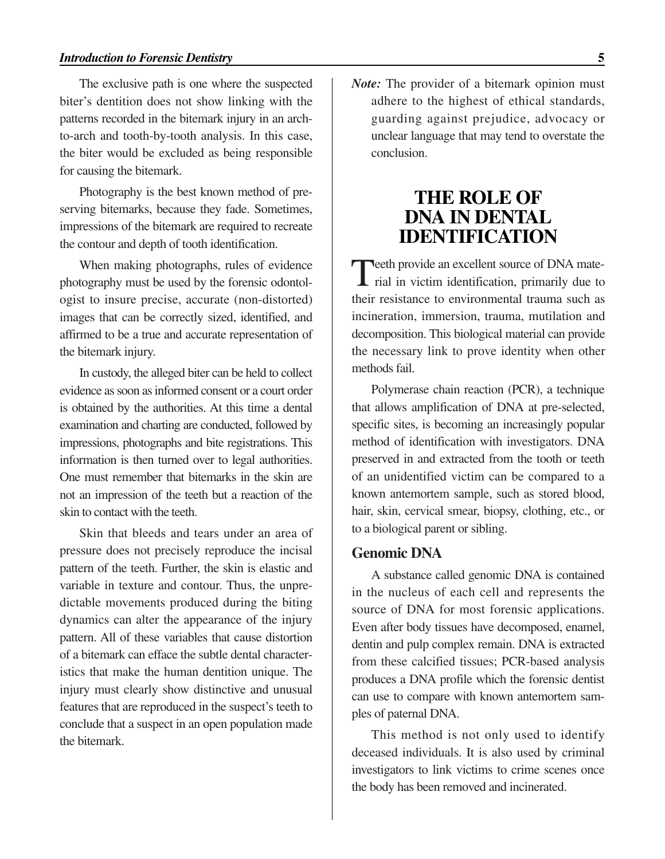The exclusive path is one where the suspected biter's dentition does not show linking with the patterns recorded in the bitemark injury in an archto-arch and tooth-by-tooth analysis. In this case, the biter would be excluded as being responsible for causing the bitemark.

Photography is the best known method of preserving bitemarks, because they fade. Sometimes, impressions of the bitemark are required to recreate the contour and depth of tooth identification.

When making photographs, rules of evidence photography must be used by the forensic odontologist to insure precise, accurate (non-distorted) images that can be correctly sized, identified, and affirmed to be a true and accurate representation of the bitemark injury.

In custody, the alleged biter can be held to collect evidence as soon as informed consent or a court order is obtained by the authorities. At this time a dental examination and charting are conducted, followed by impressions, photographs and bite registrations. This information is then turned over to legal authorities. One must remember that bitemarks in the skin are not an impression of the teeth but a reaction of the skin to contact with the teeth.

Skin that bleeds and tears under an area of pressure does not precisely reproduce the incisal pattern of the teeth. Further, the skin is elastic and variable in texture and contour. Thus, the unpredictable movements produced during the biting dynamics can alter the appearance of the injury pattern. All of these variables that cause distortion of a bitemark can efface the subtle dental characteristics that make the human dentition unique. The injury must clearly show distinctive and unusual features that are reproduced in the suspect's teeth to conclude that a suspect in an open population made the bitemark.

*Note:* The provider of a bitemark opinion must adhere to the highest of ethical standards, guarding against prejudice, advocacy or unclear language that may tend to overstate the conclusion.

### **THE ROLE OF DNA IN DENTAL IDENTIFICATION**

Teeth provide an excellent source of DNA mate-<br>rial in victim identification, primarily due to their resistance to environmental trauma such as incineration, immersion, trauma, mutilation and decomposition. This biological material can provide the necessary link to prove identity when other methods fail.

Polymerase chain reaction (PCR), a technique that allows amplification of DNA at pre-selected, specific sites, is becoming an increasingly popular method of identification with investigators. DNA preserved in and extracted from the tooth or teeth of an unidentified victim can be compared to a known antemortem sample, such as stored blood, hair, skin, cervical smear, biopsy, clothing, etc., or to a biological parent or sibling.

#### **Genomic DNA**

A substance called genomic DNA is contained in the nucleus of each cell and represents the source of DNA for most forensic applications. Even after body tissues have decomposed, enamel, dentin and pulp complex remain. DNA is extracted from these calcified tissues; PCR-based analysis produces a DNA profile which the forensic dentist can use to compare with known antemortem samples of paternal DNA.

This method is not only used to identify deceased individuals. It is also used by criminal investigators to link victims to crime scenes once the body has been removed and incinerated.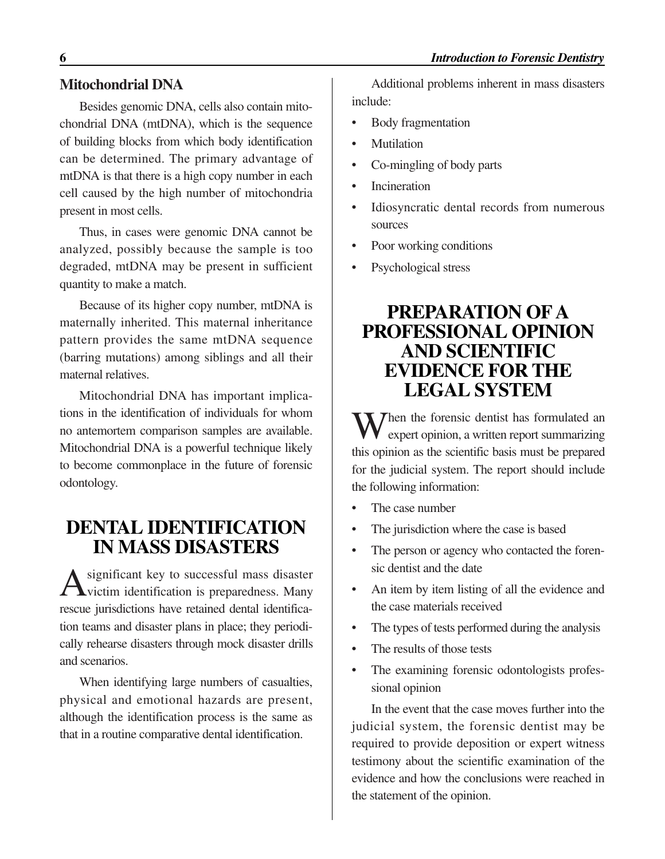#### **Mitochondrial DNA**

Besides genomic DNA, cells also contain mitochondrial DNA (mtDNA), which is the sequence of building blocks from which body identification can be determined. The primary advantage of mtDNA is that there is a high copy number in each cell caused by the high number of mitochondria present in most cells.

Thus, in cases were genomic DNA cannot be analyzed, possibly because the sample is too degraded, mtDNA may be present in sufficient quantity to make a match.

Because of its higher copy number, mtDNA is maternally inherited. This maternal inheritance pattern provides the same mtDNA sequence (barring mutations) among siblings and all their maternal relatives.

Mitochondrial DNA has important implications in the identification of individuals for whom no antemortem comparison samples are available. Mitochondrial DNA is a powerful technique likely to become commonplace in the future of forensic odontology.

## **DENTAL IDENTIFICATION IN MASS DISASTERS**

A significant key to successful mass disaster<br>victim identification is preparedness. Many rescue jurisdictions have retained dental identification teams and disaster plans in place; they periodically rehearse disasters through mock disaster drills and scenarios.

When identifying large numbers of casualties, physical and emotional hazards are present, although the identification process is the same as that in a routine comparative dental identification.

Additional problems inherent in mass disasters include:

- Body fragmentation
- **Mutilation**
- Co-mingling of body parts
- **Incineration**
- Idiosyncratic dental records from numerous sources
- Poor working conditions
- Psychological stress

### **PREPARATION OF A PROFESSIONAL OPINION AND SCIENTIFIC EVIDENCE FOR THE LEGAL SYSTEM**

 $\sum$  hen the forensic dentist has formulated an expert opinion, a written report summarizing this opinion as the scientific basis must be prepared for the judicial system. The report should include the following information:

- The case number
- The jurisdiction where the case is based
- The person or agency who contacted the forensic dentist and the date
- An item by item listing of all the evidence and the case materials received
- The types of tests performed during the analysis
- The results of those tests
- The examining forensic odontologists professional opinion

In the event that the case moves further into the judicial system, the forensic dentist may be required to provide deposition or expert witness testimony about the scientific examination of the evidence and how the conclusions were reached in the statement of the opinion.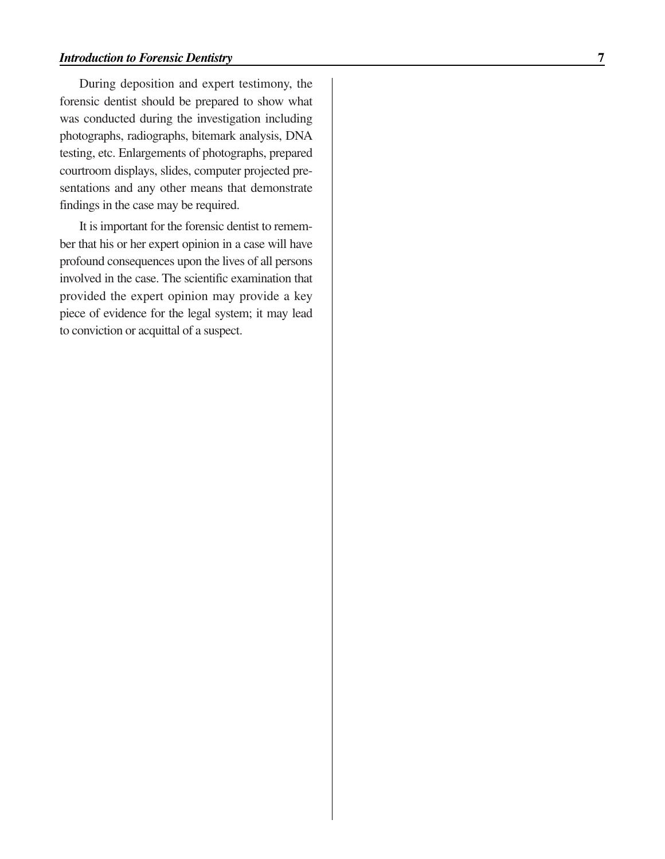During deposition and expert testimony, the forensic dentist should be prepared to show what was conducted during the investigation including photographs, radiographs, bitemark analysis, DNA testing, etc. Enlargements of photographs, prepared courtroom displays, slides, computer projected presentations and any other means that demonstrate findings in the case may be required.

It is important for the forensic dentist to remember that his or her expert opinion in a case will have profound consequences upon the lives of all persons involved in the case. The scientific examination that provided the expert opinion may provide a key piece of evidence for the legal system; it may lead to conviction or acquittal of a suspect.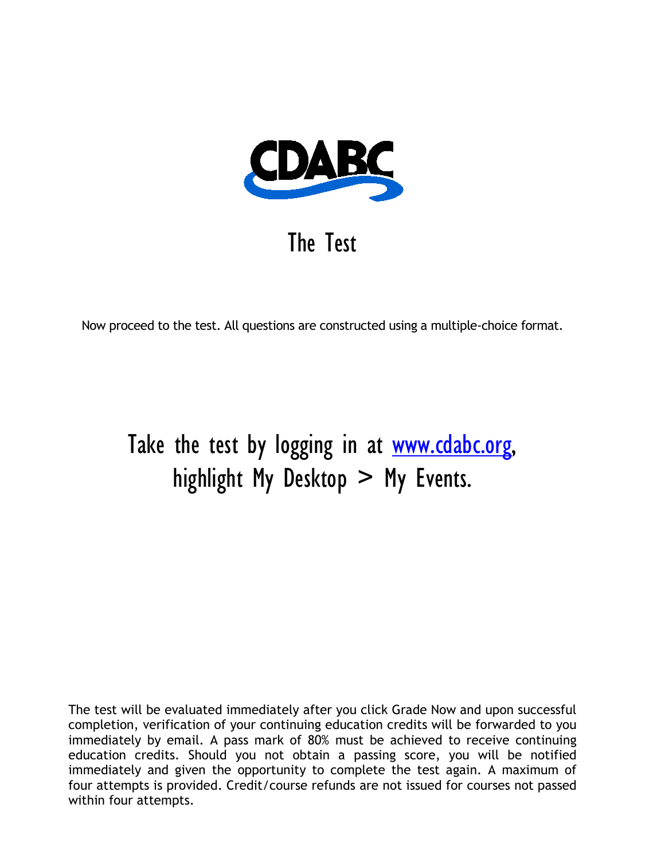

## The Test

Now proceed to the test. All questions are constructed using a multiple-choice format.

# Take the test by logging in at [www.cdabc.org,](http://www.cdabc.org/) highlight My Desktop  $>$  My Events.

The test will be evaluated immediately after you click Grade Now and upon successful completion, verification of your continuing education credits will be forwarded to you immediately by email. A pass mark of 80% must be achieved to receive continuing education credits. Should you not obtain a passing score, you will be notified immediately and given the opportunity to complete the test again. A maximum of four attempts is provided. Credit/course refunds are not issued for courses not passed within four attempts.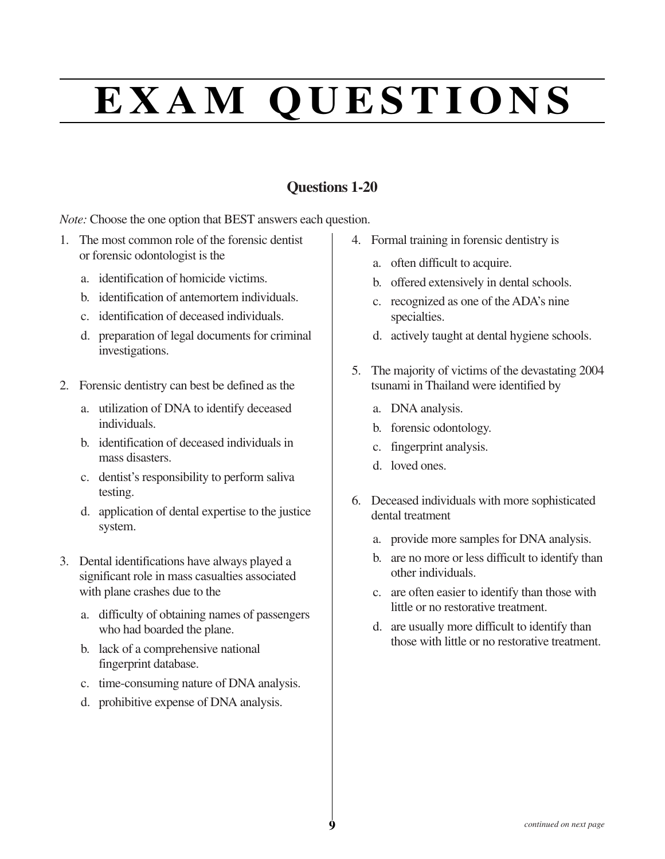# **E X A M Q U E S T I O N S**

### **Questions 1-20**

*Note:* Choose the one option that BEST answers each question.

- 1. The most common role of the forensic dentist or forensic odontologist is the
	- a. identification of homicide victims.
	- b. identification of antemortem individuals.
	- c. identification of deceased individuals.
	- d. preparation of legal documents for criminal investigations.
- 2. Forensic dentistry can best be defined as the
	- a. utilization of DNA to identify deceased individuals.
	- b. identification of deceased individuals in mass disasters.
	- c. dentist's responsibility to perform saliva testing.
	- d. application of dental expertise to the justice system.
- 3. Dental identifications have always played a significant role in mass casualties associated with plane crashes due to the
	- a. difficulty of obtaining names of passengers who had boarded the plane.
	- b. lack of a comprehensive national fingerprint database.
	- c. time-consuming nature of DNA analysis.
	- d. prohibitive expense of DNA analysis.
- 4. Formal training in forensic dentistry is
	- a. often difficult to acquire.
	- b. offered extensively in dental schools.
	- c. recognized as one of the ADA's nine specialties.
	- d. actively taught at dental hygiene schools.
- 5. The majority of victims of the devastating 2004 tsunami in Thailand were identified by
	- a. DNA analysis.
	- b. forensic odontology.
	- c. fingerprint analysis.
	- d. loved ones.
- 6. Deceased individuals with more sophisticated dental treatment
	- a. provide more samples for DNA analysis.
	- b. are no more or less difficult to identify than other individuals.
	- c. are often easier to identify than those with little or no restorative treatment.
	- d. are usually more difficult to identify than those with little or no restorative treatment.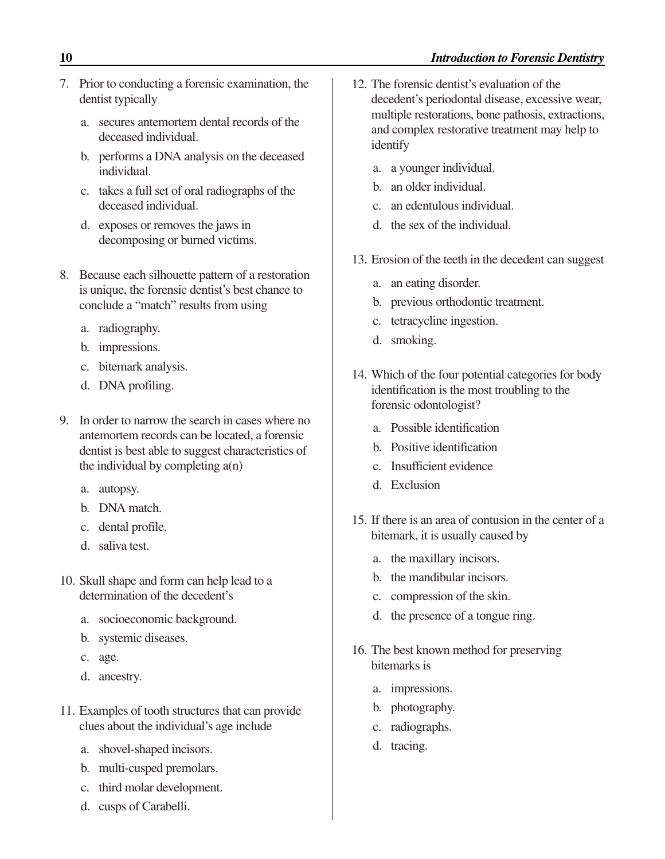- 7. Prior to conducting a forensic examination, the dentist typically
	- a. secures antemortem dental records of the deceased individual.
	- b. performs a DNA analysis on the deceased individual.
	- c. takes a full set of oral radiographs of the deceased individual.
	- d. exposes or removes the jaws in decomposing or burned victims.
- 8. Because each silhouette pattern of a restoration is unique, the forensic dentist's best chance to conclude a "match" results from using
	- a. radiography.
	- b. impressions.
	- c. bitemark analysis.
	- d. DNA profiling.
- 9. In order to narrow the search in cases where no antemortem records can be located, a forensic dentist is best able to suggest characteristics of the individual by completing a(n)
	- a. autopsy.
	- b. DNA match.
	- c. dental profile.
	- d. saliva test.
- 10. Skull shape and form can help lead to a determination of the decedent's
	- a. socioeconomic background.
	- b. systemic diseases.
	- c. age.
	- d. ancestry.
- 11. Examples of tooth structures that can provide clues about the individual's age include
	- a. shovel-shaped incisors.
	- b. multi-cusped premolars.
	- c. third molar development.
	- d. cusps of Carabelli.
- 12. The forensic dentist's evaluation of the decedent's periodontal disease, excessive wear, multiple restorations, bone pathosis, extractions, and complex restorative treatment may help to identify
	- a. a younger individual.
	- b. an older individual.
	- c. an edentulous individual.
	- d. the sex of the individual.
- 13. Erosion of the teeth in the decedent can suggest
	- a. an eating disorder.
	- b. previous orthodontic treatment.
	- c. tetracycline ingestion.
	- d. smoking.
- 14. Which of the four potential categories for body identification is the most troubling to the forensic odontologist?
	- a. Possible identification
	- b. Positive identification
	- c. Insufficient evidence
	- d. Exclusion
- 15. If there is an area of contusion in the center of a bitemark, it is usually caused by
	- a. the maxillary incisors.
	- b. the mandibular incisors.
	- c. compression of the skin.
	- d. the presence of a tongue ring.
- 16. The best known method for preserving bitemarks is
	- a. impressions.
	- b. photography.
	- c. radiographs.
	- d. tracing.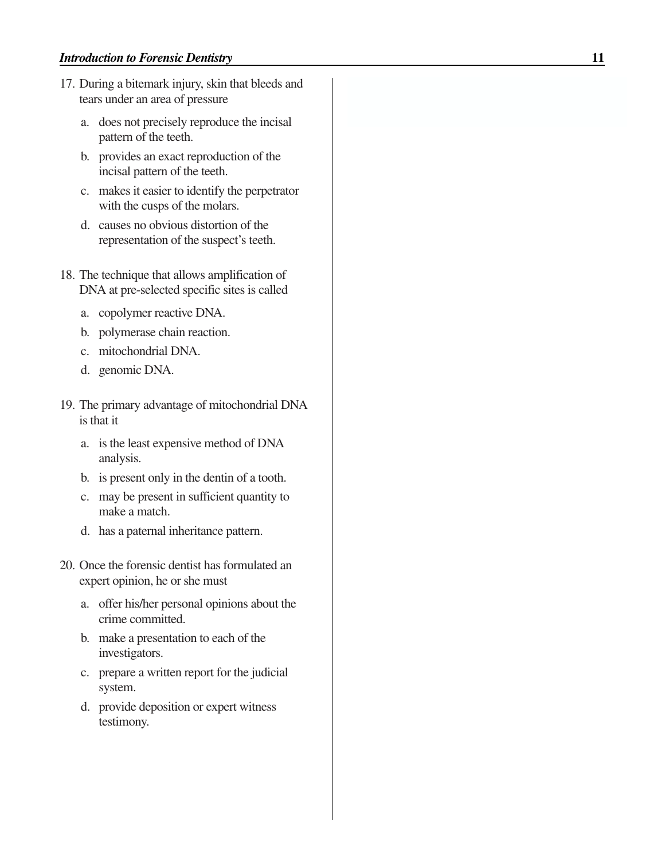- 17. During a bitemark injury, skin that bleeds and tears under an area of pressure
	- a. does not precisely reproduce the incisal pattern of the teeth.
	- b. provides an exact reproduction of the incisal pattern of the teeth.
	- c. makes it easier to identify the perpetrator with the cusps of the molars.
	- d. causes no obvious distortion of the representation of the suspect's teeth.
- 18. The technique that allows amplification of DNA at pre-selected specific sites is called
	- a. copolymer reactive DNA.
	- b. polymerase chain reaction.
	- c. mitochondrial DNA.
	- d. genomic DNA.
- 19. The primary advantage of mitochondrial DNA is that it
	- a. is the least expensive method of DNA analysis.
	- b. is present only in the dentin of a tooth.
	- c. may be present in sufficient quantity to make a match.
	- d. has a paternal inheritance pattern.
- 20. Once the forensic dentist has formulated an expert opinion, he or she must
	- a. offer his/her personal opinions about the crime committed.
	- b. make a presentation to each of the investigators.
	- c. prepare a written report for the judicial system.
	- d. provide deposition or expert witness testimony.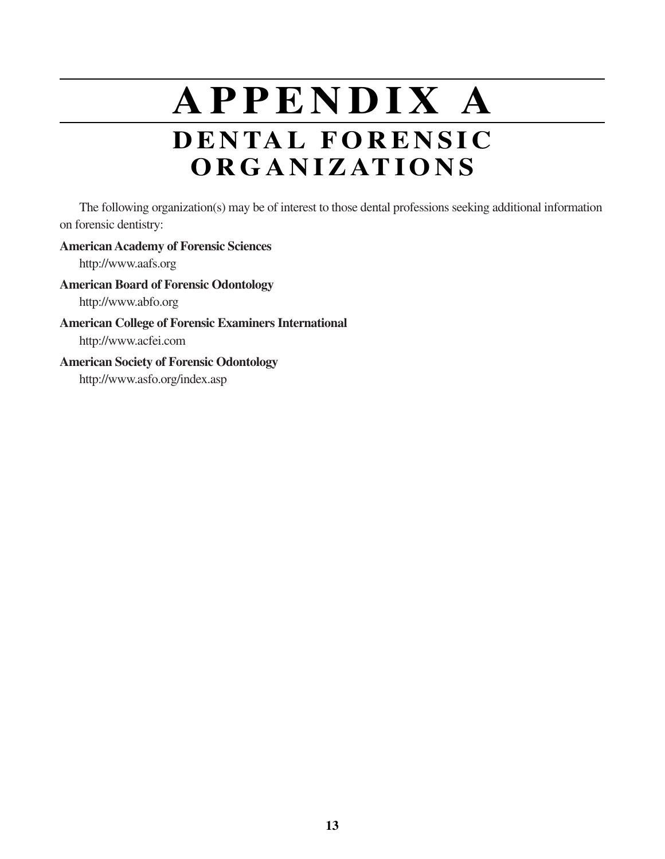# **A P P E N D I X A D E N TA L F O R E N S I C O R G A N I Z AT I O N S**

The following organization(s) may be of interest to those dental professions seeking additional information on forensic dentistry:

#### **American Academy of Forensic Sciences**

http://www.aafs.org

#### **American Board of Forensic Odontology**

http://www.abfo.org

#### **American College of Forensic Examiners International**

http://www.acfei.com

#### **American Society of Forensic Odontology**

http://www.asfo.org/index.asp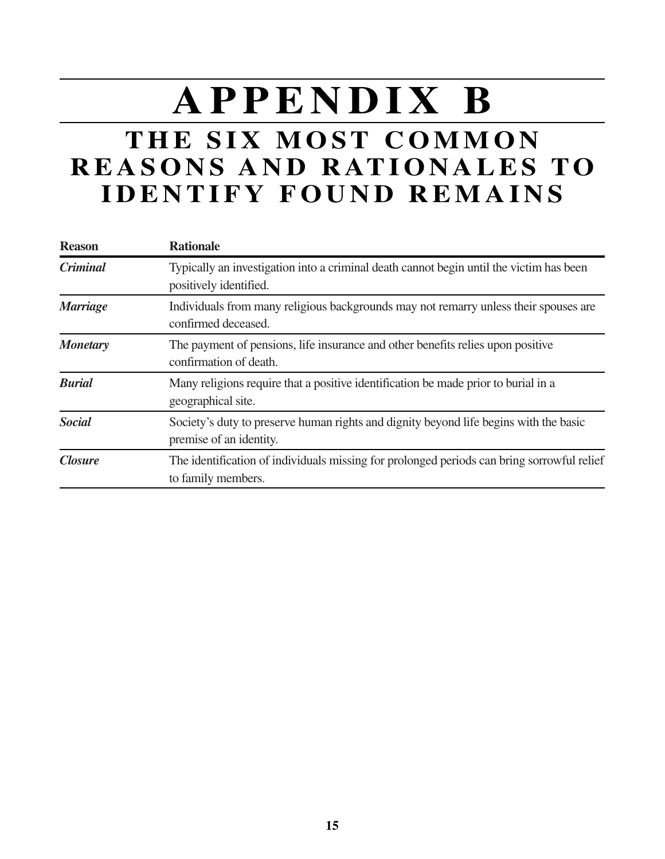# **A P P E N D I X B**

## **THE SIX MOST COMMON R E A S O N S A N D R AT I O N A L E S T O I D E N T I F Y F O U N D R E M A I N S**

| <b>Reason</b>   | <b>Rationale</b>                                                                                                  |
|-----------------|-------------------------------------------------------------------------------------------------------------------|
| <b>Criminal</b> | Typically an investigation into a criminal death cannot begin until the victim has been<br>positively identified. |
| <b>Marriage</b> | Individuals from many religious backgrounds may not remarry unless their spouses are<br>confirmed deceased.       |
| <b>Monetary</b> | The payment of pensions, life insurance and other benefits relies upon positive<br>confirmation of death.         |
| <b>Burial</b>   | Many religions require that a positive identification be made prior to burial in a<br>geographical site.          |
| <b>Social</b>   | Society's duty to preserve human rights and dignity beyond life begins with the basic<br>premise of an identity.  |
| <b>Closure</b>  | The identification of individuals missing for prolonged periods can bring sorrowful relief<br>to family members.  |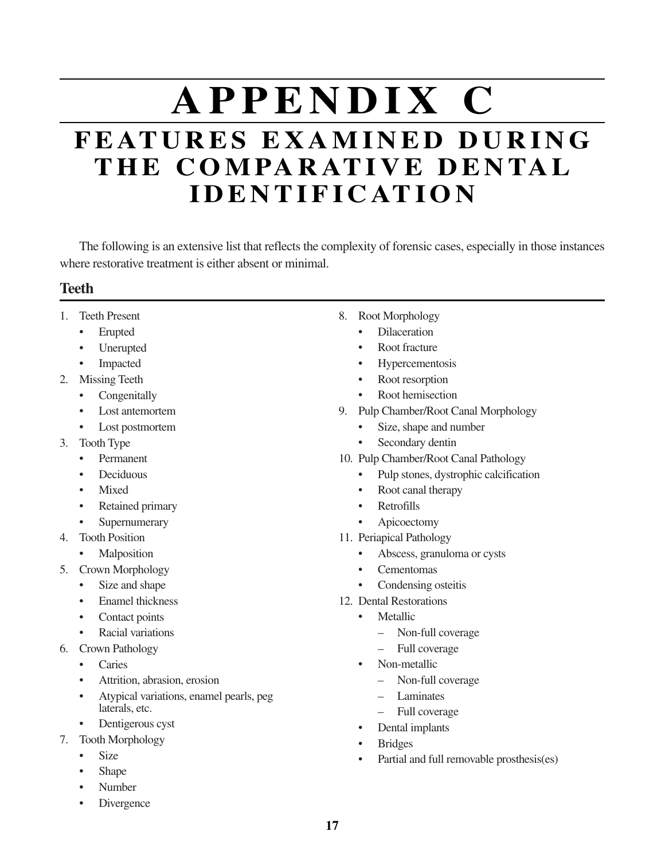# **A P P E N D I X C F E AT U R E S E X A M I N E D D U R I N G T H E C O M PA R AT I V E D E N TA L I D E N T I F I C AT I O N**

The following is an extensive list that reflects the complexity of forensic cases, especially in those instances where restorative treatment is either absent or minimal.

#### **Teeth**

- 1. Teeth Present
	- Erupted
	- Unerupted
	- Impacted
- 2. Missing Teeth
	- Congenitally
	- Lost antemortem
	- Lost postmortem
- 3. Tooth Type
	- Permanent
	- Deciduous
	- Mixed
	- Retained primary
	- **Supernumerary**
- 4. Tooth Position
	- **Malposition**
- 5. Crown Morphology
	- Size and shape
	- Enamel thickness
	- Contact points
	- Racial variations
- 6. Crown Pathology
	- **Caries**
	- Attrition, abrasion, erosion
	- Atypical variations, enamel pearls, peg laterals, etc.
	- Dentigerous cyst
- 7. Tooth Morphology
	- Size
	- Shape
	- Number
	- **Divergence**
- 8. Root Morphology
	- Dilaceration
	- Root fracture
	- **Hypercementosis**
	- Root resorption
	- Root hemisection
- 9. Pulp Chamber/Root Canal Morphology
	- Size, shape and number
	- Secondary dentin
- 10. Pulp Chamber/Root Canal Pathology
	- Pulp stones, dystrophic calcification
	- Root canal therapy
	- Retrofills
	- Apicoectomy
- 11. Periapical Pathology
	- Abscess, granuloma or cysts
	- Cementomas
	- Condensing osteitis
- 12. Dental Restorations
	- Metallic
		- Non-full coverage
		- Full coverage
	- Non-metallic
		- Non-full coverage
		- **Laminates**
		- Full coverage
	- Dental implants
	- Bridges
	- Partial and full removable prosthesis(es)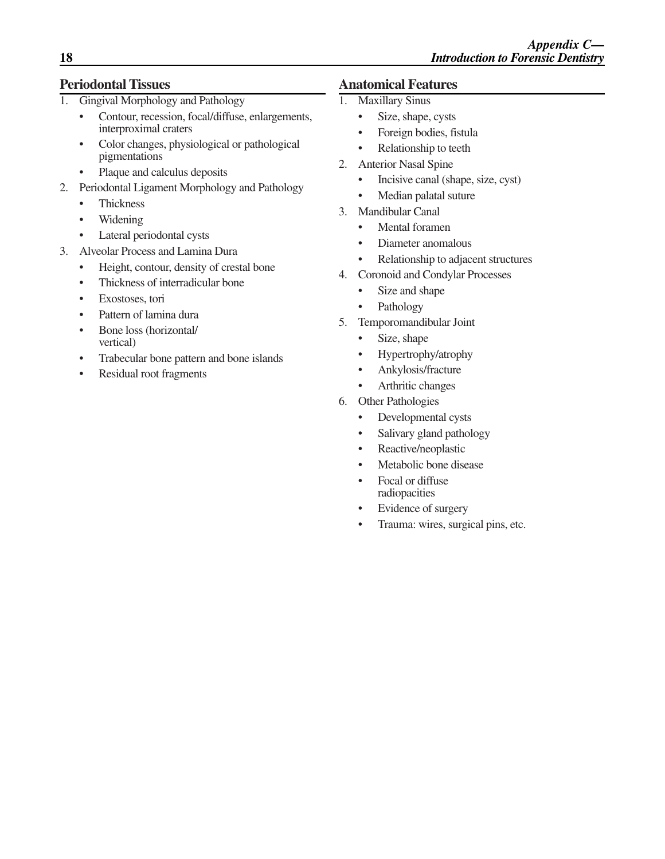#### **Periodontal Tissues**

- 1. Gingival Morphology and Pathology
	- Contour, recession, focal/diffuse, enlargements, interproximal craters
	- Color changes, physiological or pathological pigmentations
	- Plaque and calculus deposits
- 2. Periodontal Ligament Morphology and Pathology
	- Thickness
	- Widening
	- Lateral periodontal cysts
- 3. Alveolar Process and Lamina Dura
	- Height, contour, density of crestal bone
	- Thickness of interradicular bone
	- Exostoses, tori
	- Pattern of lamina dura
	- Bone loss (horizontal/ vertical)
	- Trabecular bone pattern and bone islands
	- Residual root fragments

#### **Anatomical Features**

- 1. Maxillary Sinus
	- Size, shape, cysts
	- Foreign bodies, fistula
	- Relationship to teeth
- 2. Anterior Nasal Spine
	- Incisive canal (shape, size, cyst)
	- Median palatal suture
- 3. Mandibular Canal
	- Mental foramen
	- Diameter anomalous
	- Relationship to adjacent structures
- 4. Coronoid and Condylar Processes
	- Size and shape
	- Pathology
- 5. Temporomandibular Joint
	- Size, shape
	- Hypertrophy/atrophy
	- Ankylosis/fracture
	- Arthritic changes
- 6. Other Pathologies
	- Developmental cysts
	- Salivary gland pathology
	- Reactive/neoplastic
	- Metabolic bone disease
	- Focal or diffuse radiopacities
	- Evidence of surgery
	- Trauma: wires, surgical pins, etc.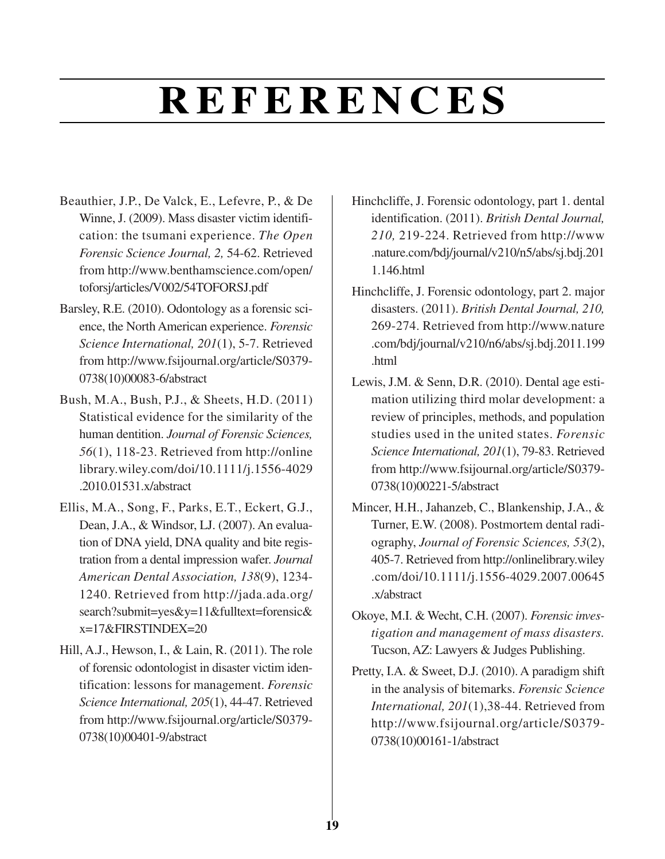# **R E F E R E N C E S**

- Beauthier, J.P., De Valck, E., Lefevre, P., & De Winne, J. (2009). Mass disaster victim identification: the tsumani experience. *The Open Forensic Science Journal, 2,* 54-62. Retrieved from http://www.benthamscience.com/open/ toforsj/articles/V002/54TOFORSJ.pdf
- Barsley, R.E. (2010). Odontology as a forensic science, the North American experience. *Forensic Science International, 201*(1), 5-7. Retrieved from http://www.fsijournal.org/article/S0379- 0738(10)00083-6/abstract
- Bush, M.A., Bush, P.J., & Sheets, H.D. (2011) Statistical evidence for the similarity of the human dentition. *Journal of Forensic Sciences, 56*(1), 118-23. Retrieved from http://online library.wiley.com/doi/10.1111/j.1556-4029 .2010.01531.x/abstract
- Ellis, M.A., Song, F., Parks, E.T., Eckert, G.J., Dean, J.A., & Windsor, LJ. (2007). An evaluation of DNA yield, DNA quality and bite registration from a dental impression wafer. *Journal American Dental Association, 138*(9), 1234- 1240. Retrieved from http://jada.ada.org/ search?submit=yes&y=11&fulltext=forensic& x=17&FIRSTINDEX=20
- Hill, A.J., Hewson, I., & Lain, R. (2011). The role of forensic odontologist in disaster victim identification: lessons for management. *Forensic Science International, 205*(1), 44-47. Retrieved from http://www.fsijournal.org/article/S0379- 0738(10)00401-9/abstract
- Hinchcliffe, J. Forensic odontology, part 1. dental identification. (2011). *British Dental Journal, 210,* 219-224. Retrieved from http://www .nature.com/bdj/journal/v210/n5/abs/sj.bdj.201 1.146.html
- Hinchcliffe, J. Forensic odontology, part 2. major disasters. (2011). *British Dental Journal, 210,* 269-274. Retrieved from http://www.nature .com/bdj/journal/v210/n6/abs/sj.bdj.2011.199 .html
- Lewis, J.M. & Senn, D.R. (2010). Dental age estimation utilizing third molar development: a review of principles, methods, and population studies used in the united states. *Forensic Science International, 201*(1), 79-83. Retrieved from http://www.fsijournal.org/article/S0379- 0738(10)00221-5/abstract
- Mincer, H.H., Jahanzeb, C., Blankenship, J.A., & Turner, E.W. (2008). Postmortem dental radiography, *Journal of Forensic Sciences, 53*(2), 405-7. Retrieved from http://onlinelibrary.wiley .com/doi/10.1111/j.1556-4029.2007.00645 .x/abstract
- Okoye, M.I. & Wecht, C.H. (2007). *Forensic investigation and management of mass disasters.* Tucson, AZ: Lawyers & Judges Publishing.
- Pretty, I.A. & Sweet, D.J. (2010). A paradigm shift in the analysis of bitemarks. *Forensic Science International, 201*(1),38-44. Retrieved from http://www.fsijournal.org/article/S0379- 0738(10)00161-1/abstract